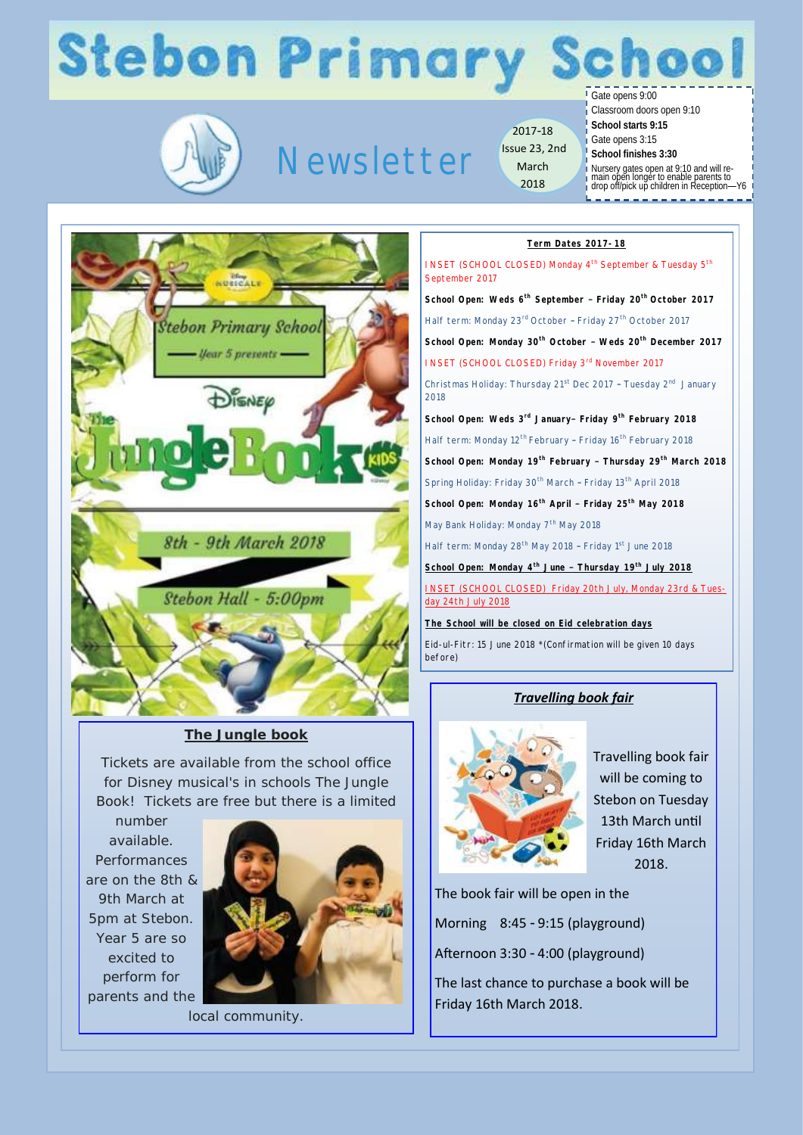## **Stebon Primary School**



 $-$  *Uear* 5 presents  $-$ 

DISNEP

### Newsletter

2017-18 Issue 23, 2nd March 2018

Gate opens 9:00

Classroom doors open 9:10

- **School starts 9:15**
- Gate opens 3:15
- **School finishes 3:30**
- Nursery gates open at 9:10 and will re-main open longer to enable parents to drop off/pick up children in Reception—Y6
- 

#### **Term Dates 2017-18**

INSET (SCHOOL CLOSED) Monday 4<sup>th</sup> September & Tuesday 5<sup>th</sup> September 2017 **School Open: Weds 6th September – Friday 20th October 2017** Half term: Monday 23<sup>rd</sup> October - Friday 27<sup>th</sup> October 2017 **Stebon Primary School School Open: Monday 30th October – Weds 20th December 2017**  INSET (SCHOOL CLOSED) Friday 3rd November 2017 Christmas Holiday: Thursday 21<sup>st</sup> Dec 2017 - Tuesday 2<sup>nd</sup> January 2018 **School Open: Weds 3rd January– Friday 9th February 2018** Half term: Monday 12<sup>th</sup> February - Friday 16<sup>th</sup> February 2018 **School Open: Monday 19th February – Thursday 29th March 2018** Spring Holiday: Friday 30<sup>th</sup> March - Friday 13<sup>th</sup> April 2018 **School Open: Monday 16th April – Friday 25th May 2018** May Bank Holiday: Monday 7<sup>th</sup> May 2018 8th - 9th March 2018 Half term: Monday 28<sup>th</sup> May 2018 - Friday 1<sup>st</sup> June 2018 **School Open: Monday 4th June – Thursday 19th July 2018 INSET (SCHOOL CLOSED)** Friday 20th July, Monday 23rd & Tue Stebon Hall - 5:00pm day 24th July 2018 **The School will be closed on Eid celebration days** Eid-ul-Fitr: 15 June 2018 \*(Confirmation will be given 10 days before)

#### *Travelling book fair*



Travelling book fair will be coming to Stebon on Tuesday 13th March until Friday 16th March 2018.

The book fair will be open in the Morning 8:45 - 9:15 (playground) Afternoon 3:30 - 4:00 (playground) The last chance to purchase a book will be Friday 16th March 2018.

*The Jungle book*

Tickets are available from the school office for Disney musical's in schools The Jungle Book! Tickets are free but there is a limited

number available. Performances are on the 8th & 9th March at 5pm at Stebon. Year 5 are so excited to perform for parents and the



local community.